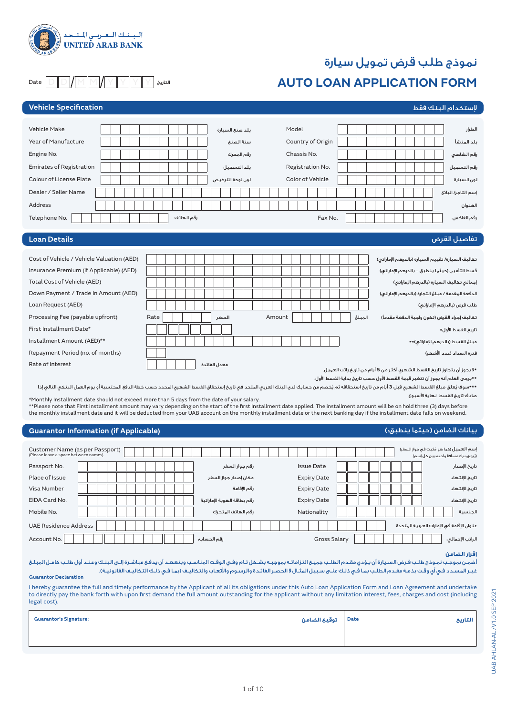

# نموذج طلب قرض تمويل سيارة

# **AUTO LOAN APPLICATION FORM**

Date  $\mathsf{D} \mathsf{D} \mathsf{M} \mathsf{M}$  M  $\mathsf{M} \mathsf{M} \mathsf{M} \mathsf{M}$  W  $\mathsf{N} \mathsf{M}$  D  $\mathsf{M}$ 

| <b>Vehicle Specification</b>              |                  |                   | لإستخدام البنك فقط                                |
|-------------------------------------------|------------------|-------------------|---------------------------------------------------|
|                                           |                  |                   |                                                   |
| <b>Vehicle Make</b>                       | بلد صنع السيارة  | Model             | الطراز                                            |
| Year of Manufacture                       | سنة الصنع        | Country of Origin | بلد المنشأ                                        |
| Engine No.                                | رقم المحرك       | Chassis No.       | رقم الشاصي                                        |
| <b>Emirates of Registration</b>           | بلد التسجيل      | Registration No.  | رقم التسجيل                                       |
| <b>Colour of License Plate</b>            | لون لوحة الترخيص | Color of Vehicle  | لون السيارة                                       |
| Dealer / Seller Name                      |                  |                   | إسم التاجر/ البائع                                |
| Address                                   |                  |                   | العنوان                                           |
| Telephone No.                             | رقم الهاتف       | Fax No.           | رقم الفاكس:                                       |
|                                           |                  |                   |                                                   |
| <b>Loan Details</b>                       |                  |                   | تفاصيل القرض                                      |
|                                           |                  |                   |                                                   |
| Cost of Vehicle / Vehicle Valuation (AED) |                  |                   | تكاليف السيارة/ تقييم السيارة (بالدرهم الإماراتي) |
| Insurance Premium (If Applicable) (AED)   |                  |                   | قسط التأمين (حيثما ينطبق – بالدرهم الإماراتى)     |
| Total Cost of Vehicle (AED)               |                  |                   | إجمالى تكاليف السيارة (بالدرهم الإماراتى)         |
| Down Payment / Trade In Amount (AED)      |                  |                   | الدفعة المقدمة / مبلغ التجارة (بالدرهم الإماراتي) |
| Loan Request (AED)                        |                  |                   | طلب قرض (بالدرهم الإماراتي)                       |
| Processing Fee (payable upfront)          | Rate<br>السعر    | Amount<br>المبلغ  | تكاليف إجراء القرض (تكون واجبة الدفعة مقدماً)     |
| First Installment Date*                   |                  |                   | تاريخ القسط الأول*                                |
| Installment Amount (AED)**                |                  |                   | مبلغ القسط (بالدرهم الإماراتى)**                  |
| Repayment Period (no. of months)          |                  |                   |                                                   |
|                                           |                  |                   | فترة السداد (عدد الأشهر)                          |

**\***ال يجوز أن يتجاوز تاريخ القسط الشهري أكثر من **5** أيام من تاريخ راتب العميل.

**\*\***يرجى العلم أنه يجوز أن تتغير قيمة القسط األول حسب تاريخ بداية القسط األول.

بيانات الضامن (حيثما ينطبق:)

.<br>\*\*\*سوف يُعلق مبلغ القسط الشهري قبل 3 أيام من تاريخ استحقاقه ثم يُخصم من حسابك لحالي المتحدث الشهري المحدد حسب خطة الدفع المحتسبة أو يوم العمل البنكي التالي إذا صادف تاريخ القسط نهاية األسبوع.

\*Monthly Installment date should not exceed more than 5 days from the date of your salary.<br>\*\*Please note that First installment amount may vary depending on the start of the first Installment date applied. The installment

# **Guarantor Information (if Applicable)**

| Customer Name (as per Passport)<br>(Please leave a space between names) |  |                             |                    | إسم العميل (كما هو مَثبت في جواز السفر)<br>(يُرجِي ترك مسافة واحدة بين كل إسم) |
|-------------------------------------------------------------------------|--|-----------------------------|--------------------|--------------------------------------------------------------------------------|
| Passport No.                                                            |  | رقم جواز السفر              | <b>Issue Date</b>  | تاريخ الإصدار                                                                  |
| Place of Issue                                                          |  | مكان إصدار جواز السفر       | <b>Expiry Date</b> | تاريخ الإنتهاء                                                                 |
| Visa Number                                                             |  | رقم الإقامة                 | <b>Expiry Date</b> | تاريخ الإنتهاء                                                                 |
| EIDA Card No.                                                           |  | رقم بطاقة الهوية الإماراتية | <b>Expiry Date</b> | تاريخ الإنتهاء                                                                 |
| Mobile No.                                                              |  | رقم الهاتف المتحرك          | Nationality        | الجنسية                                                                        |
| <b>UAE Residence Address</b>                                            |  |                             |                    | عنوان الإقامة فى الإمارات العربية المتحدة                                      |
| Account No.                                                             |  | رقم الحساب:                 | Gross Salary       | الراتب الإجمالي:                                                               |

# **إقرار الضامن**

.<br>أضمـن بموجـب نمـوذج طلـب قـرض السـيارة أن يـؤدى مقـدم الطلـب جميـع التـام تـه بشـكل تـام وفـى الوقـت المناسـب ويتعهـد أن يدفـع مباشـرة إلـى البنـك وعنـد أول طلـب كامـل المبلـغ .<br>غيـر المسـدد فـي أي وقـت بذمـة مقـدم الطلـب بمـا فـي ذلـك علـى سـبيل المثـال لا الحصـر الفائـدة والرسـوم والأتعـاب والتكاليـف (بمـا فـي ذلـك التكاليـف القانونيـة).

#### **Guarantor Declaration**

I hereby guarantee the full and timely performance by the Applicant of all its obligations under this Auto Loan Application Form and Loan Agreement and undertake to directly pay the bank forth with upon first demand the full amount outstanding for the applicant without any limitation interest, fees, charges and cost (including legal cost).

| <b>Guarantor's Signature:</b> | توقيع الضامن $\vert$ <sup>Date</sup> | التاريخ |
|-------------------------------|--------------------------------------|---------|
|                               |                                      |         |
|                               |                                      |         |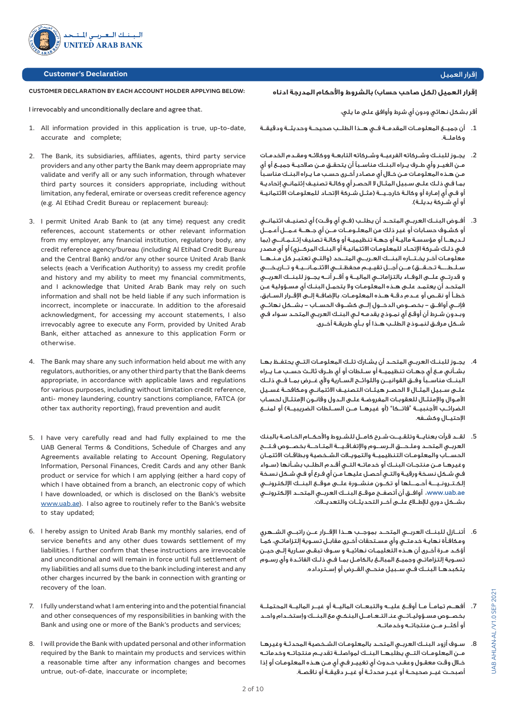

# **Customer's Declaration**

# **CUSTOMER DECLARATION BY EACH ACCOUNT HOLDER APPLYING BELOW:**

I irrevocably and unconditionally declare and agree that.

- 1. All information provided in this application is true, up-to-date, accurate and complete;
- 2. The Bank, its subsidiaries, affiliates, agents, third party service providers and any other party the Bank may deem appropriate may validate and verify all or any such information, through whatever third party sources it considers appropriate, including without limitation, any federal, emirate or overseas credit reference agency (e.g. Al Etihad Credit Bureau or replacement bureau):
- 3. I permit United Arab Bank to (at any time) request any credit references, account statements or other relevant information from my employer, any financial institution, regulatory body, any credit reference agency/bureau (including Al Etihad Credit Bureau and the Central Bank) and/or any other source United Arab Bank selects (each a Verification Authority) to assess my credit profile and history and my ability to meet my financial commitments, and I acknowledge that United Arab Bank may rely on such information and shall not be held liable if any such information is incorrect, incomplete or inaccurate. In addition to the aforesaid acknowledgment, for accessing my account statements, I also irrevocably agree to execute any Form, provided by United Arab Bank, either attached as annexure to this application Form or otherwise.
- 4. The Bank may share any such information held about me with any regulators, authorities, or any other third party that the Bank deems appropriate, in accordance with applicable laws and regulations for various purposes, including without limitation credit reference, anti- money laundering, country sanctions compliance, FATCA (or other tax authority reporting), fraud prevention and audit
- 5. I have very carefully read and had fully explained to me the UAB General Terms & Conditions, Schedule of Charges and any Agreements available relating to Account Opening, Regulatory Information, Personal Finances, Credit Cards and any other Bank product or service for which I am applying (either a hard copy of which I have obtained from a branch, an electronic copy of which I have downloaded, or which is disclosed on the Bank's website www.uab.ae). I also agree to routinely refer to the Bank's website to stay updated;
- 6. I hereby assign to United Arab Bank my monthly salaries, end of service benefits and any other dues towards settlement of my liabilities. I further confirm that these instructions are irrevocable and unconditional and will remain in force until full settlement of my liabilities and all sums due to the bank including interest and any other charges incurred by the bank in connection with granting or recovery of the loan.
- 7. I fully understand what I am entering into and the potential financial and other consequences of my responsibilities in banking with the Bank and using one or more of the Bank's products and services;
- 8. I will provide the Bank with updated personal and other information required by the Bank to maintain my products and services within a reasonable time after any information changes and becomes untrue, out-of-date, inaccurate or incomplete;

# إقرار العميل

#### **إقرار العميل )لكل صاحب حساب( بالشروط واألحكام المدرجة ادناه**

أقر بشكل نهائي ودون أي شرط وأوافق على ما يلي:

- .1 أن جميــع المعلومــات المقدمــة فــي هــذا الطلــب صحيحــة وحديثــة ودقيقــة وكاملــة.
- .2 يجـوز للبنـك وشـركاته الفرعيـة وشـركاته التابعـة ووكالئـه ومقـدم الخدمـات مــن الغيــر وأي طــرف يــراه البنــك مناســبًا أن يتحقــق مــن صالحيــة جميــع أو أي مـن هـذه المعلومـات مـن خـال أي مصـادر أخـرى حسـب مـا يـراه البنـك مناسـبًا بمـا فـي ذلـك علـى سـبيل المثـال ال الحصـر أي وكالـة تصنيـف إئتمانـي إتحاديـة أو فـي أي إمـارة أو وكالـة خارجـيــة (مثـل شـركة الإتحـاد للمعلومـات الائتمانيـة أو أي شـركة بديلـة).
- 3. أفــوض البنــك العربــى المتحــد أن يطلــب (فــى أي وقــت) أي تصنيــف ائتمانــى أو كشـوف حسـابات أو غير ذلك من المعلـومــات مــن أي جـهــة عـمــل أعـمــل لـديهــا أو مؤسسـة ماليـة أو جهـة تنظيميـة أو وكالـة تصنيف إئـتـمـانــي )بما فـي ذلـك شـركة اإلتحـاد للمعلومـات االئتمانيـة أو البنـك المركــزي( أو أي مصدر معلومـات آخـر يخـتــاره البنــك العـربــي المتــحد )والتـي تعتبـر كل مـنـهــا سـلـطــــة تـحـقــق) مــن أجــل تقيـيـم محفظـتــي الائتـمـانــيـة و تــاريـخـــي و قدرتــي علــى الوفــاء بالتزاماتــي الماليــة و أقــر أنــه يجــوز للبنــك العربــي المتحـد أن يعتمـد علـى هـذه المعلومـات وال يتحمـل البنـك أي مسـؤولية عـن خطــأ أو نقــص أو عــدم دقــة هــذه المعلومــات. باإلضافــة إلــى اإلقــرار الســابق، فإنــي أوافــق - بخصــوص الدخــول إلــى كشــوف الحســاب - بشــكل نهائــي وبـدون شـرط أن أوقـع أي نمـوذج يقدمـه لـي البنـك العربـي المتحـد سـواء فـي شــكل مرفــق لنمــوذج الطلــب هــذا أو بــأي طريقــة أخــرى.
- .4 يجــوز للبنــك العربــي المتحــد أن يشــارك تلــك المعلومــات التــي يحتفــظ بهــا بشــأني مــع أي جهــات تنظيميــة أو ســلطات أو أي طــرف ثالــث حســب مــا يــراه البنــك مناســبًا وفــق القوانيــن واللوائــح الســارية وألي غــرض بمــا فــي ذلــك علــى ســبيل المثــال ال الحصــر هيئــات التصنيــف االئتمانــي ومكافحــة غســيل األمـوال واإلمتثـال للعقوبـات المفروضـة علـى الـدول وقانـون اإلمتثـال لحسـاب الضرائــب الأجنبيـــة "فاتــكا" (أو غيرهــا مــن الســلطات الضريبيــة) أو لمنــع اإلحتيــال وكشــفه.
- .5 لقــد قرأت بعنايــة وتلقـيــت شـرح كامــل للشـروط واألحكــام الخـاصـة بالبنك العربــي المتحــد وملـحـــق الـرســـوم واإلتفـاقـيـــة المتـاحـــة بخصـــوص فـتـــح الحســـاب والمعلومــات التنظيميــة والتمويــات الشــخصية وبطاقــات االئتمــان وغيرهــا مــن منتجــات البنــك أو خدماتــه التــي أقــدم الطلــب بشــأنها )ســواء فـي شـكل نسـخة ورقيـة والتـي أحصـل عليهـا مـن أي فـرع أو فـي شـكل نسـخة إلكـتـرونـيـــة أحـمـــلها أو تكــون منشــورة علــى موقــع البنــك اإللكترونــي ae.uab.www، أوافــق أن أتصفــح موقــع البنــك العربــي المتحــد اإللكترونــي بشــكل دوري لإلطــاع علــى آخــر التحديثــات والتعديــات.
- .6 أتنــازل للبنــك العربــي المتحــد بموجــب هــذا اإلقــرار عــن راتبــي الشــهري ومكافـأة نهايـة خدمتـي وأي مسـتحقات أخـرى مقابـل تسـوية إلتزاماتـي، كمـا أؤكـد مـرة أخـرى أن هـذه التعليمـات نهائيـة و سـوف تبقـى سـارية إلـى حيـن تسـوية إلتزاماتـي وجميـع المبالـغ بالكامـل بمـا فـي ذلـك الفائـدة وأي رسـوم يتكبدهــا البنــك فــي ســبيل منحــي القــرض أو إســترداده.
- .7 أفهــم تمامــً مــا أوقــع عليــه والتبعــات الماليــة أو غيــر الماليــة المحتملــة بخصــوص مسـؤوليـاتــي عنـ التـعـامــل البنكـي مع البنــك وإستخـدام واحـد أو أكثــر مــن منتجاتــه وخدماتــه.
- .8 سـوف أزود البنـك العربـي المتحـد بالمعلومـات الشـخصية المحدثـة وغيرهـا مــن المعلومــات التــي يطلبهــا البنــك لمواصلــة تقديــم منتجاتــه وخدماتــه خـال وقـت معقـول وعقـب حـدوث أي تغييـر فـي أي مـن هـذه المعلومـات أو إذا أصبحــت غيــر صحيحــة أو غيــر محدثــة أو غيــر دقيقــة أو ناقصــة.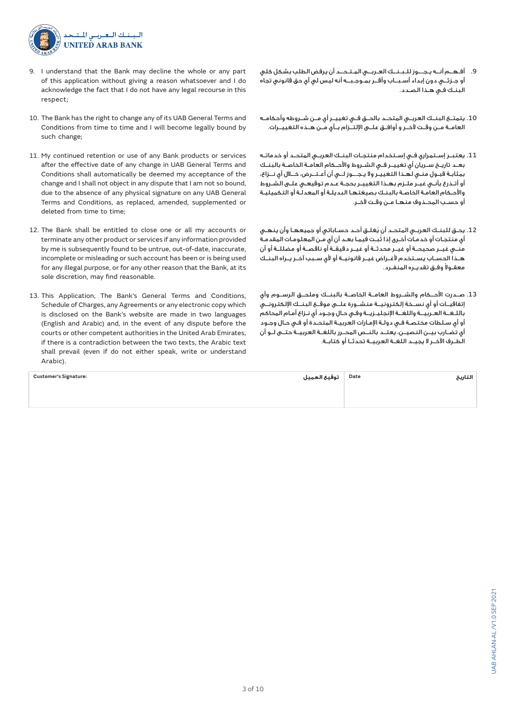

- 9. I understand that the Bank may decline the whole or any part of this application without giving a reason whatsoever and I do acknowledge the fact that I do not have any legal recourse in this respect;
- 10. The Bank has the right to change any of its UAB General Terms and Conditions from time to time and I will become legally bound by such change;
- 11. My continued retention or use of any Bank products or services after the effective date of any change in UAB General Terms and Conditions shall automatically be deemed my acceptance of the change and I shall not object in any dispute that I am not so bound, due to the absence of any physical signature on any UAB General Terms and Conditions, as replaced, amended, supplemented or deleted from time to time;
- 12. The Bank shall be entitled to close one or all my accounts or terminate any other product or services if any information provided by me is subsequently found to be untrue, out-of-date, inaccurate, incomplete or misleading or such account has been or is being used for any illegal purpose, or for any other reason that the Bank, at its sole discretion, may find reasonable.
- 13. This Application, The Bank's General Terms and Conditions, Schedule of Charges, any Agreements or any electronic copy which is disclosed on the Bank's website are made in two languages (English and Arabic) and, in the event of any dispute before the courts or other competent authorities in the United Arab Emirates, if there is a contradiction between the two texts, the Arabic text shall prevail (even if do not either speak, write or understand Arabic).
- .9 أفـهــم أنــه يـجـــوز للـبـنــك العـربــي المـتـحــد أن يرفض الطلب بشكل كلي أو جـزئــي دون إبداء أسـبــاب وأقــر بمـوجـبــه أنه ليس لي أي حق قانوني تجاه البنـك فـي هـذا الصـدد.
- .10 يتمتــع البنــك العربــي المتحــد بالحــق فــي تغييــر أي مــن شــروطه وأحكامــه العامــة مــن وقــت آلخــر و أوافــق علــى اإللتــزام بــأي مــن هــذه التغييــرات.
- .11 يعتبــر إســتمراري فــي إســتخدام منتجــات البنــك العربــي المتحــد أو خدماتــه بعــد تاريــخ ســريان أي تغييــر فــي الشــروط واألحــكام العامــة الخاصــة بالبنــك بمثابـة قبـول منـي لهـذا التغييـر وال يـجـــوز لــي أن أعـتــرض، خــال أي نــزاع، أو أتـذرع بأنـي غيـر ملـزم بهـذا التغييـر بحجـة عـدم توقيعـي علـى الشـروط واألحـكام العامـة الخاصـة بالبنـك بصيغتهـا البديلـة أو المعدلـة أو التكميليـة أو حســب المحــذوف منهــا مــن وقــت آلخــر.
- .12 ُ يحـق للبنـك العربـي المتحـد أن يغلـق أحـد حسـاباتي أو جميعهـا وأن ينهـي ُ أي منتجـات أو خدمـات أخـرى إذا ثبـت فيمـا بعـد أن أي مـن المعلومـات المقدمـة منــي غيــر صحيحــة أو غيــر محدثــة أو غيــر دقيقــة أو ناقصــة أو مضللــة أو أن هــذا الحســاب يســتخدم ألغــراض غيــر قانونيــة أو ألي ســبب آخــر يــراه البنــك ً معقــوال وفــق تقديــره المنفــرد.
- .13 صــدرت األحــكام والشــروط العامــة الخاصــة بالبنــك وملحــق الرســوم وأي إتفاقيــات أو أي نســخة إلكترونيــة منشــورة علــى موقــع البنــك اإللكترونــي باللـغــة العـربيــة واللغــة اإلنجليـزيــة وفـي حـال وجـود أي نـزاع أمـام المحاكم أو أي سـلطات مختصـة فـي دولـة اإلمـارات العربيـة المتحـدة أو فـي حـال وجـود أي تضــارب بيــن النصيــن، يعتــد بالنــص المحــرر باللغــة العربيــة حتــى لــو أن الطــرف اآلخــر ال يجيــد اللغــة العربيــة تحدثــا أو كتابــة.

| <b>Customer's Signature:</b> | Date   توقيع العميل | التاريخ |
|------------------------------|---------------------|---------|
|                              |                     |         |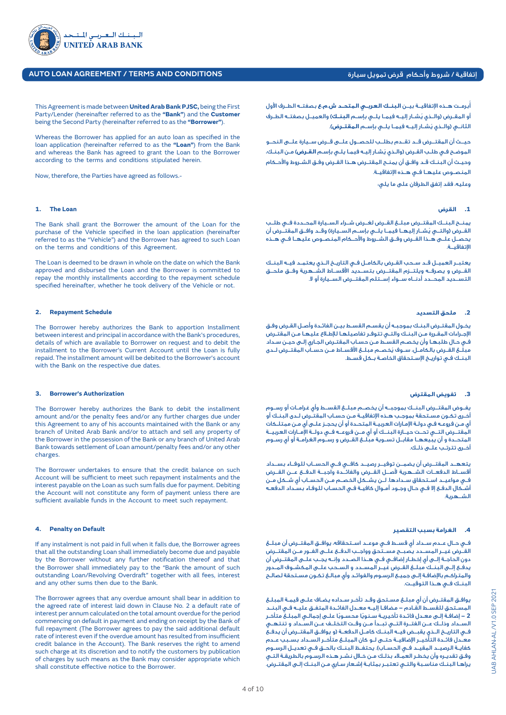

# إتفاقية / شروط وأحكام قرض تمويل سيارة **CONDITIONS AND TERMS / AGREEMENT LOAN AUTO**

This Agreement is made between **United Arab Bank PJSC,** being the First Party/Lender (hereinafter referred to as the **"Bank"**) and the **Customer** being the Second Party (hereinafter referred to as the **"Borrower"**).

Whereas the Borrower has applied for an auto loan as specified in the loan application (hereinafter referred to as the **"Loan"**) from the Bank and whereas the Bank has agreed to grant the Loan to the Borrower according to the terms and conditions stipulated herein.

Now, therefore, the Parties have agreed as follows.-

#### **1. The Loan**

The Bank shall grant the Borrower the amount of the Loan for the purchase of the Vehicle specified in the loan application (hereinafter referred to as the "Vehicle") and the Borrower has agreed to such Loan on the terms and conditions of this Agreement.

The Loan is deemed to be drawn in whole on the date on which the Bank approved and disbursed the Loan and the Borrower is committed to repay the monthly installments according to the repayment schedule specified hereinafter, whether he took delivery of the Vehicle or not.

#### **2. Repayment Schedule**

The Borrower hereby authorizes the Bank to apportion Installment between interest and principal in accordance with the Bank's procedures, details of which are available to Borrower on request and to debit the installment to the Borrower's Current Account until the Loan is fully repaid. The installment amount will be debited to the Borrower's account with the Bank on the respective due dates.

# **3. Borrower's Authorization**

The Borrower hereby authorizes the Bank to debit the installment amount and/or the penalty fees and/or any further charges due under this Agreement to any of his accounts maintained with the Bank or any branch of United Arab Bank and/or to attach and sell any property of the Borrower in the possession of the Bank or any branch of United Arab Bank towards settlement of Loan amount/penalty fees and/or any other charges.

The Borrower undertakes to ensure that the credit balance on such Account will be sufficient to meet such repayment instalments and the interest payable on the Loan as such sum falls due for payment. Debiting the Account will not constitute any form of payment unless there are sufficient available funds in the Account to meet such repayment.

#### **4. Penalty on Default**

If any instalment is not paid in full when it falls due, the Borrower agrees that all the outstanding Loan shall immediately become due and payable by the Borrower without any further notification thereof and that the Borrower shall immediately pay to the "Bank the amount of such outstanding Loan/Revolving Overdraft" together with all fees, interest and any other sums then due to the Bank.

The Borrower agrees that any overdue amount shall bear in addition to the agreed rate of interest laid down in Clause No. 2 a default rate of interest per annum calculated on the total amount overdue for the period commencing on default in payment and ending on receipt by the Bank of full repayment (The Borrower agrees to pay the said additional default rate of interest even if the overdue amount has resulted from insufficient credit balance in the Account). The Bank reserves the right to amend such charge at its discretion and to notify the customers by publication of charges by such means as the Bank may consider appropriate which shall constitute effective notice to the Borrower.

ُبرمــت هــذه اإلتفاقيــة بيــن **البنــك العربــي المتحــد ش.م.ع** بصفتــه الطــرف األول أ ُ أو المقــرض )والــذي يشــار إليــه فيمــا يلــي بإســم **البنــك**( والعميــل بصفتــه الطــرف ُ الثانــي )والــذي يشــار إليــه فيمــا يلــي بإســم **المقتــرض**(.

حيــث أن المقتــرض قــد تقــدم بطلــب للحصــول علــى قــرض ســيارة علــى النحــو ُ الموضـح فـي طلـب القـرض )والـذي يشـار إليـه فيمـا يلـي بإسـم **القـرض**( مـن البنـك، وحيـث أن البنـك قـد وافـق أن يمنـح المقتـرض هـذا القـرض وفـق الشـروط واألحـكام المنصــوص عليهــا فــي هــذه اإلتفاقيــة.

وعليه، فقد إتفق الطرفان على ما يلي:

#### **.1 القرض**

يمنــح البنــك المقتــرض مبلــغ القــرض لغــرض شــراء الســيارة المحــددة فــي طلــب القــرض (والتــى يُشــار إليهــا فيمــا يلــى بإســم الســيارة) وقــد وافــق المقتــّرض أن يحصــل علــى هــذا القــرض وفــق الشــروط واألحــكام المنصــوص عليهــا فــي هــذه اإلتفاقيــة.

يعتبــر العميــل قــد ســحب القــرض بالكامــل فــي التاريــخ الــذي يعتمــد فيــه البنــك القــرض و يصرفــه ويلتــزم المقتــرض بتســديد األقســاط الشــهرية وفــق ملحــق التســديد المحــدد أدنــاه ســواء إســتلم المقتــرض الســيارة أو ال.

# **.2 ملحق التسديد**

يخـول المقتـرض البنـك بموجبـه أن يقسـم القسـط بيـن الفائـدة وأصـل القـرض وفـق اإلجـراءات المقـررة مـن البنـك والتـي تتوفـر تفاصيلهـا لإلطـاع عليهـا مـن المقتـرض فـي حـال طلبهـا وأن يخصـم القسـط مـن حسـاب المقتـرض الجـاري إلـى حيـن سـداد ُ مبلــغ القــرض بالكامــل، ســوف يخصــم مبلــغ األقســاط مــن حســاب المقتــرض لــدى البنـك فـي تواريـخ اإلسـتحقاق الخاصـة بـكل قسـط.

# **.3 تفويض المقترض**

يفــوض المقتــرض البنــك بموجبــه أن يخصــم مبلــغ القســط وأي غرامــات أو رســوم أخـرى تكـون مسـتحقة بموجـب هـذه اإلتفاقيـة مـن حسـاب المقتـرض لـدى البنـك أو أي مـن فروعـه فـي دولـة اإلمـارات العربيـة المتحـدة أو أن يحجـز علـى أي مـن ممتلـكات المقتــرض التــي تحــت حيــازة البنــك أو أي مــن فروعــه فــي دولــة اإلمــارات العربيــة المتحــدة و أن يبيعهــا مقابــل تســوية مبلــغ القــرض و رســوم الغرامــة أو أي رســوم أخـرى تترتـب علـى ذلـك.

يتعهــد المقتــرض أن يضمــن توفيــر رصيــد كافــي فــي الحســاب للوفــاء بســداد أقســاط الدفعــات الشــهرية ألصــل القــرض والفائــدة واجبــة الدفــع عــن القــرض فــي مواعيــد اســتحقاق ســدادها. لــن يشــكل الخصــم مــن الحســاب أي شــكل مــن أشـكال الدفـع إال فـي حـال وجـود أمـوال كافيـة فـي الحسـاب للوفـاء بسـداد الدفعـه الشــهرية.

# **.4 الغرامة بسبب التقصير**

فــي حــال عــدم ســداد أي قســط فــي موعــد اســتحقاقه، يوافــق المقتــرض أن مبلــغ القــرض غيــر المســدد يصبــح مســتحق وواجــب الدفــع علــى الفــور مــن المقتــرض دون الحاجــة إلــى أي إخطــار إضافــي فــي هــذا الصــدد وإنــه يجــب علــى المقتــرض أن يدفــع إلــى البنــك مبلــغ القــرض غيــر المســدد و الســحب علــى المكشــوف المــدور والمتراكـم باإلضافـة إلـى جميـع الرسـوم والفوائـد وأي مبالـغ تكـون مسـتحقة لصالـح البنــك فــي هــذا التوقيــت.

يوافـق المقتـرض أن أي مبلـغ مسـتحق وقـد تأخـر سـداده يضـاف علـى قيمـة المبلـغ المسـتحق للقسـط القـادم **–** مضافـا إليـه معـدل الفائـدة المتفـق عليـه فـي البنـد **2 –** ً إضافـة إلـى معـدل فائـدة تأخيريـة سـنوي ً ا محسـوبا علـى إجمالـي المبلـغ متأخـر الســداد وذلــك عــن الفتــرة التــي تبــدأ مــن وقــت التخلــف عــن الســداد و تنتهــي فــي التاريــخ الــذي يقبــض فيــه البنــك كامــل الدفعــة )و يوافــق المقتــرض أن يدفــع معــدل فائــدة التأخيــر اإلضافيــة حتــى لــو كان المبلــغ متأخــر الســداد بســبب عــدم كفايــة الرصيــد المقيــد فــي الحســاب(. يحتفــظ البنــك بالحــق فــي تعديــل الرســوم وفـق تقديـره وأن يخطـر العمـاء بذلـك مـن خـال نشـر هـذه الرسـوم بالطريقـة التـي يراهـا البنـك مناسـبة والتـي تعتبـر بمثابـة إشـعار سـاري مـن البنـك إلـى المقتـرض.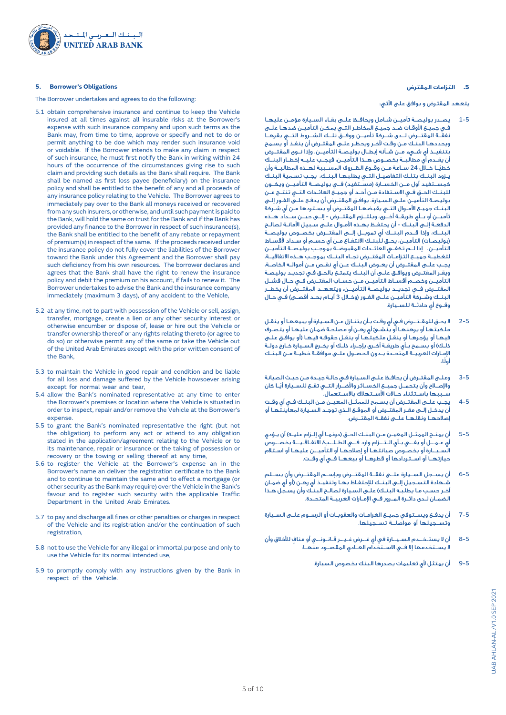

#### **5. Borrower's Obligations**

The Borrower undertakes and agrees to do the following:

- 5.1 obtain comprehensive insurance and continue to keep the Vehicle insured at all times against all insurable risks at the Borrower's expense with such insurance company and upon such terms as the Bank may, from time to time, approve or specify and not to do or permit anything to be doe which may render such insurance void or voidable. If the Borrower intends to make any claim in respect of such insurance, he must first notify the Bank in writing within 24 hours of the occurrence of the circumstances giving rise to such claim and providing such details as the Bank shall require. The Bank shall be named as first loss payee (beneficiary) on the insurance policy and shall be entitled to the benefit of any and all proceeds of any insurance policy relating to the Vehicle. The Borrower agrees to immediately pay over to the Bank all moneys received or recovered from any such insurers, or otherwise, and until such payment is paid to the Bank, will hold the same on trust for the Bank and if the Bank has provided any finance to the Borrower in respect of such insurance(s), the Bank shall be entitled to the benefit of any rebate or repayment of premium(s) in respect of the same. If the proceeds received under the insurance policy do not fully cover the liabilities of the Borrower toward the Bank under this Agreement and the Borrower shall pay such deficiency from his own resources. The borrower declares and agrees that the Bank shall have the right to renew the insurance policy and debit the premium on his account, if fails to renew it. The Borrower undertakes to advise the Bank and the insurance company immediately (maximum 3 days), of any accident to the Vehicle,
- 5.2 at any time, not to part with possession of the Vehicle or sell, assign, transfer, mortgage, create a lien or any other security interest or otherwise encumber or dispose of, lease or hire out the Vehicle or transfer ownership thereof or any rights relating thereto (or agree to do so) or otherwise permit any of the same or take the Vehicle out of the United Arab Emirates except with the prior written consent of the Bank,
- 5.3 to maintain the Vehicle in good repair and condition and be liable for all loss and damage suffered by the Vehicle howsoever arising except for normal wear and tear,
- 5.4 allow the Bank's nominated representative at any time to enter the Borrower's premises or location where the Vehicle is situated in order to inspect, repair and/or remove the Vehicle at the Borrower's expense.
- 5.5 to grant the Bank's nominated representative the right (but not the obligation) to perform any act or attend to any obligation stated in the application/agreement relating to the Vehicle or to its maintenance, repair or insurance or the taking of possession or recovery or the towing or selling thereof at any time,
- 5.6 to register the Vehicle at the Borrower's expense an in the Borrower's name an deliver the registration certificate to the Bank and to continue to maintain the same and to effect a mortgage (or other security as the Bank may require) over the Vehicle in the Bank's favour and to register such security with the applicable Traffic Department in the United Arab Emirates.
- 5.7 to pay and discharge all fines or other penalties or charges in respect of the Vehicle and its registration and/or the continuation of such registration,
- 5.8 not to use the Vehicle for any illegal or immortal purpose and only to use the Vehicle for its normal intended use,
- 5.9 to promptly comply with any instructions given by the Bank in respect of the Vehicle.

## **.5 التزامات المقترض**

يتعهد المقترض و يوافق على اآلتي:

- 1-5 يصــدر بوليصــة تأميــن شــامل ويحافــظ علــى بقــاء الســيارة مؤمــن عليهــا فـي جميـع األوقـات ضـد جميـع المخاطـر التـي يمكـن التأميـن ضدهـا علـى نفقــة المقتــرض لــدى شــركة تأميــن ووفــق تلــك الشــروط التــي يقرهــا ويحددهـا البنـك مـن وقـت آلخـر ويحظـر علـى المقتـرض أن ينفـذ أو يسـمح بتنفيــذ أي شــيء مــن شــأنه إبطــال بوليصــة التأميــن. وإذا نــوى المقتــرض أن يقــدم أي مطالبــة بخصــوص هــذا التأميــن، فيجــب عليــه إخطــار البنــك ً خطيــا خــال 24 ســاعة مــن وقــوع الظــروف المســببة لهــذه المطالبــة وأن يـزود البنـك بتلـك التفاصيـل التـي يطلبهـا البنـك، يجـب تسـمية البنـك كمســتفيد أول مــن الخســارة (مســُتفيد) فــي بوليصــة التأميــن ويكــون للبنــك الحــق فــي االســتفادة مــن أحــد أو جميــع العائــدات التــي تنتــج عــن بوليصـة التأميـن علـى السـيارة. يوافـق المقتـرض أن يدفـع علـى الفـور إلـى البنـك جميـع األمـوال التـي يقبضهـا المقتـرض أو يسـتردها مـن أي شـركة تأميــن أو بــأي طريقــة أخــرى، ويلتــزم المقتــرض - إلــى حيــن ســداد هــذه الدفعـة إلـى البنـك - أن يحتفـظ بهـذه األمـوال علـى سـبيل األمانـة لصالـح البنــك، وإذا قــدم البنــك أي تمويــل إلــى المقتــرض بخصــوص بوليصــة (بوليصـات) التأميـن، يحـق للّبنـك الانتفـاع مـن أي حسـم أو سـداد لأقسـاط التأميــن. إذا لــم تكفــي العائــدات المقبوضــة بموجــب بوليصــة التأميــن لتغطيــة جميــع التزامــات المقتــرض تجــاه البنــك بموجــب هــذه االتفاقيــة، يجــب علــى المقتــرض أن يعــوض البنــك عــن أي نقــص مــن أموالــه الخاصــة، ويقـر المقتـرض ويوافـق علـى أن البنـك يتمتـع بالحـق فـي تجديـد بوليصـة التأميــن وخصــم أقســاط التأميــن مــن حســاب المقتــرض فــي حــال فشــل المقتــرض فــي تجديــد بوليصــة التأميــن، ويتعهــد المقتــرض أن يخطــر البنــك وشــركة التأميــن علــى الفــور (وخــلال 3 أيــام بحــد أقصــى) فــى حــال وقــوع أي حادثــة للســيارة.
- 2-5 ال يحـق للمقـتــرض فـي أي وقـت بـأن يتنـازل عـن السـيارة أو يبيعهـا أو ينقـل ملكيتهـا أو يرهنهـا أو ينشـئ أي رهـن أو مصلحـة ضمـان عليهـا أو يتصـرف فيهـا أو يؤجرهـا أو ينقـل ملكيتهـا أو ينقـل حقوقـه فيهـا )أو يوافـق علـى ذلـك) أو يسـمح بـأى طريقـة أخـرى بإجـراء ذلـك أو يخـرج السـيارة خـارج دولـة اإلمــارات العربيــة المتحــدة بــدون الحصــول علــى موافقــة خطيــة مــن البنــك ً أولا،
- 3-5 وعلـى المقتـرض أن يحافـظ علـى السـيارة فـي حالـة جيـدة مـن حيـث الصيانة والإصــااع وأن يتحمــل جميــع الخســائر والأضــرار التــى تقــع للـسـيارة أيَــا كان .<br>ســببها باســتثناء حــالات الأســتهالك بالاســتعمال.
- 4-5 يجــب علــى المقتــرض أن يســمح للممثــل المعيــن مــن البنــك فــي أي وقــت أن يدخـل إلـى مقـر المقتـرض أو الموقـع الـذي توجـد السـيارة لمعاينتهـا أو إصالحهــا ونقلهــا علــى نفقــة المقتــرض.
- 5-5 أن يمنــح الممثــل المعيــن مــن البنــك الحـق (دونمـا أي إلــزام عليــه) أن يـؤدي أي عـمـــل أو يفـــي بــأي الـتـــزام وارد فـــي الطـلـــب/ االتفـاقـيـــة بخصـــوص السـيــارة أو بخصـوص صيانتهـا أو إصالحهـا أو التأميــن عليهـا أو اسـتالم حيازتهــا أو اســتردادها أو قطرهــا أو بيعهــا فــي أي وقــت.
- 6-5 أن يســجل الســيارة علــى نفقــة المقتــرض وبإســم المقتــرض وأن يســلم شـهادة التسـجيل إلـى البنـك لإلحتفـاظ بهـا وتنفيـذ أي رهـن )أو أي ضمـان آخـر حسـب مـا يطلبـه البنـك( علـى السـيارة لصالـح البنـك وأن يسـجل هـذا الضمــان لــدى دائــرة المــرور فــي اإلمــارات العربيــة المتحــدة.
- 7-5 أن يدفــع ويســتوفي جميــع الغرامــات والعقوبــات أو الرســوم علــى الســيارة وتســجيلها أو مواصلــة تســجيلها.
- 8-5 ٍ أن ال يستـخــدم السـيــارة في أي غــرض غـيــر قـانـونــي أو مناف لألخالق وأن ال يســتخدمها إال فــي االســتخدام العــادي المقصــود منهــا،
	- 9-5 أن يمتثل ألي تعليمات يصدرها البنك بخصوص السيارة.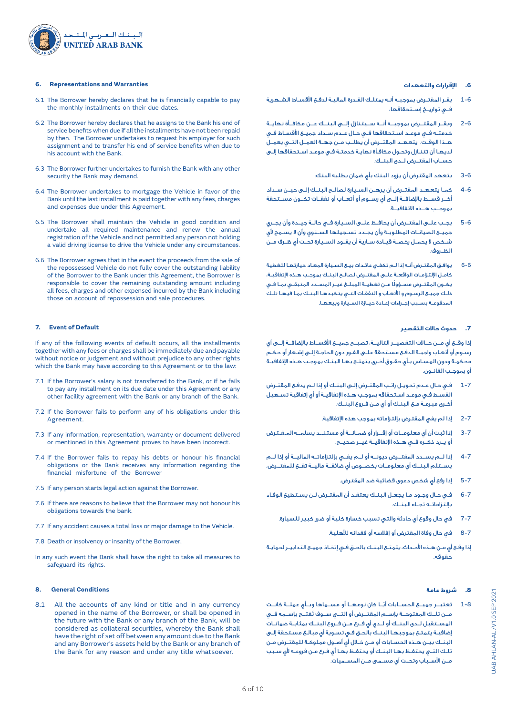

#### **6. Representations and Warranties**

- 6.1 The Borrower hereby declares that he is financially capable to pay the monthly installments on their due dates.
- 6.2 The Borrower hereby declares that he assigns to the Bank his end of service benefits when due if all the installments have not been repaid by then. The Borrower undertakes to request his employer for such assignment and to transfer his end of service benefits when due to his account with the Bank.
- 6.3 The Borrower further undertakes to furnish the Bank with any other security the Bank may demand.
- 6.4 The Borrower undertakes to mortgage the Vehicle in favor of the Bank until the last installment is paid together with any fees, charges and expenses due under this Agreement.
- 6.5 The Borrower shall maintain the Vehicle in good condition and undertake all required maintenance and renew the annual registration of the Vehicle and not permitted any person not holding a valid driving license to drive the Vehicle under any circumstances.
- 6.6 The Borrower agrees that in the event the proceeds from the sale of the repossessed Vehicle do not fully cover the outstanding liability of the Borrower to the Bank under this Agreement, the Borrower is responsible to cover the remaining outstanding amount including all fees, charges and other expensed incurred by the Bank including those on account of repossession and sale procedures.

#### **7. Event of Default**

If any of the following events of default occurs, all the installments together with any fees or charges shall be immediately due and payable without notice or judgement and without prejudice to any other rights which the Bank may have according to this Agreement or to the law:

- 7.1 If the Borrower's salary is not transferred to the Bank, or if he fails to pay any installment on its due date under this Agreement or any other facility agreement with the Bank or any branch of the Bank.
- 7.2 If the Borrower fails to perform any of his obligations under this Agreement.
- 7.3 If any information, representation, warranty or document delivered or mentioned in this Agreement proves to have been incorrect.
- 7.4 If the Borrower fails to repay his debts or honour his financial obligations or the Bank receives any information regarding the financial misfortune of the Borrower
- 7.5 If any person starts legal action against the Borrower.
- 7.6 If there are reasons to believe that the Borrower may not honour his obligations towards the bank.
- 7.7 If any accident causes a total loss or major damage to the Vehicle.
- 7.8 Death or insolvency or insanity of the Borrower.
- In any such event the Bank shall have the right to take all measures to safeguard its rights.

# **8. General Conditions**

8.1 All the accounts of any kind or title and in any currency opened in the name of the Borrower, or shall be opened in the future with the Bank or any branch of the Bank, will be considered as collateral securities, whereby the Bank shall have the right of set off between any amount due to the Bank and any Borrower's assets held by the Bank or any branch of the Bank for any reason and under any title whatsoever.

#### **.6 اإلقرارات والتعهدات**

- 1-6 يقـر المقتـرض بموجبـه أنـه يمتلـك القـدرة الماليـة لدفـع األقسـاط الشـهرية فــي تواريــخ إســتحقاقها،
- 2-6 ويقــر المقتــرض بموجبــه أنــه ســيتنازل إلــى البنــك عــن مكافــأة نهايــة خدمتــه فــي موعــد اســتحقاقها فــي حــال عــدم ســداد جميــع األقســاط فــي هــذا الوقــت. يتعهــد المقتــرض أن يطلــب مــن جهــة العمــل التــي يعمــل لديهـا أن تتنـازل وتحـول مكافـأة نهايـة خدمتـة فـي موعـد اسـتحقاقها إلـى حســاب المقتــرض لــدى البنــك.
	- 3-6 يتعهد المقترض أن يزود البنك بأي ضمان يطلبه البنك،
- 4-6 كمــا يتعهــد المقتــرض أن يرهــن الســيارة لصالــح البنــك إلــى حيــن ســداد أخــر قســط باإلضافــة إلــى أي رســوم أو أتعــاب أو نفقــات تكــون مســتحقة بموجــب هــذه االتفاقيــة.
- 5-6 يجــب علــى المقتــرض أن يحافــظ علــى الســيارة فــي حالــة جيــدة وأن يجــري جميــع الصيانــات المطلوبــة وأن يجــدد تســجيلها الســنوي وأن ال يســمح ألي شــخص ال يحمــل رخصــة قيــادة ســارية أن يقــود الســيارة تحــت أي ظــرف مــن الظــروف.
- 6-6 يوافـق المقتـرض أنـه إذا لـم تكفـي عائـدات بيـع السـيارة المعـاد حيازتهـا لتغطية كامـل اإللتزامـات الواقعـة علـى المقتـرض لصالـح البنـك بموجـب هـذه اإلتفاقيـة، ً يكــون المقتــرض مســؤولا عــن تغطيــة المبلــغ غيــر المســدد المتبقــي بمــا فــي ذلـك جميـع الرسـوم و األتعـاب و النفقـات التـي يتكبدهـا البنـك بمـا فيهـا تلـك المدفوعـة بسـبب إجـراءات إعـادة حيـازة السـيارة وبيعهـا.

# **.7 حدوث حاالت التقصير**

إذا وقــع أي مــن حــاالت التقصيــر التاليــة، تصبــح جميــع األقســاط باإلضافــة إلــى أي رسـوم أو أتعـاب واجبـة الدفـع مسـتحقة علـى الفـور دون الحاجـة إلـى إشـعار أو حكـم محكمـة ودون المسـاس بـأي حقـوق أخـرى يتمتـع بهـا البنـك بموجـب هـذه اإلتفاقيـة أو بموجـب القانـون.

- 1-7 فـي حـال عـدم تحويـل راتـب المقتـرض إلـى البنـك أو إذا لـم يدفـع المقتـرض القسـط فـي موعـد اسـتحقاقه بموجـب هـذه اإلتفاقيـة أو أي إتفاقية تسـهيل أخـرى مبرمـة مـع البنـك أو أي مـن فـروع البنـك.
	- 2-7 إذا لم يفي المقترض بإلتزاماته بموجب هذه اإلتفاقية.
- 3-7 إذا ثبت أن أي معلومــات أو إقــرار أو ضمـانــة أو مستنــد يسلمــه المـقـترض أو يــرد ذكــره فــي هــذه اإلتفاقيــة غيــر صحيــح.
- 4-7 إذا لــم يســدد المقتــرض ديونــه أو لــم يفــي بإلتزاماتــه الماليــة أو إذا لــم يســتلم البنــك أي معلومــات بخصــوص أي ضائقــة ماليــة تقــع للمقتــرض.
	- 5-7 إذا رفع أي شخص دعوى قضائية ضد المقترض.
- 6-7 فـي حـال وجـود مـا يجعـل البنـك يعتقـد أن المقتـرض لـن يسـتطيع الوفـاء بإلتزاماتــه تجــاه البنــك.
	- 7-7 في حال وقوع أي حادثة والتي تسبب خسارة كلية أو ضرر كبير للسيارة.
		- 8-7 في حال وفاة المقترض أو إفالسه أو فقدانه لألهلية.
- إذا وقـع أي مـن هـذه األحـداث، يتمتـع البنـك بالحـق فـي إتخـاذ جميـع التدابيـر لحمايـة حقوقه.

#### **.8 شروط عامة**

1-8 ً تعتبــر جميــع الحســابات أيــا كان نوعهــا أو مســماها وبــأي عملــة كانــت ُ مــن تلــك المفتوحــة بإســم المقتــرض أو التــي ســوف تفتــح بإســمه فــي المســتقبل لــدى البنــك أو لــدي أي فــرع مــن فــروع البنــك بمثابــة ضمانــات إضافيـة يتمتـع بموجبهـا البنـك بالحـق فـي تسـوية أي مبالـغ مسـتحقة إلـى البنـك بيـن هـذه الحسـابات أو مـن خـال أي أصـول مملوكـة للمقتـرض مـن تلـك التـي يحتفـظ بهـا البنـك أو يحتفـظ بهـا أي فـرع مـن فروعـه ألي سـبب مــن األســباب وتحــت أي مســمى مــن المســميات.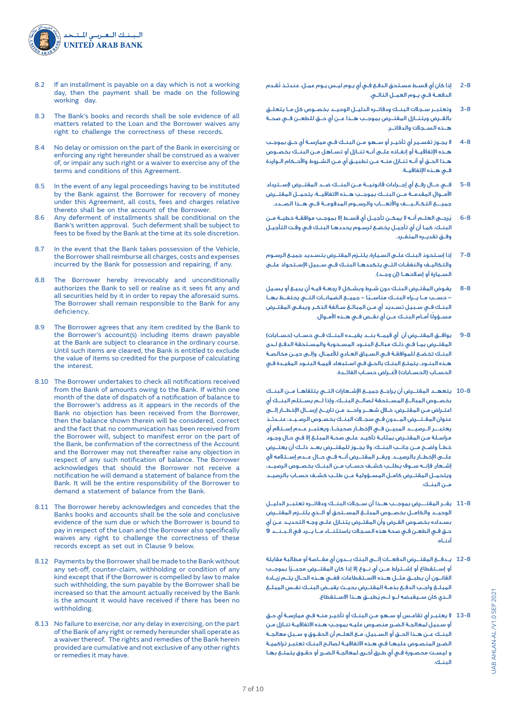

- 8.2 If an installment is payable on a day which is not a working day, then the payment shall be made on the following working day.
- 8.3 The Bank's books and records shall be sole evidence of all matters related to the Loan and the Borrower waives any right to challenge the correctness of these records.
- 8.4 No delay or omission on the part of the Bank in exercising or enforcing any right hereunder shall be construed as a waiver of, or impair any such right or a waiver to exercise any of the terms and conditions of this Agreement.
- 8.5 In the event of any legal proceedings having to be instituted by the Bank against the Borrower for recovery of money under this Agreement, all costs, fees and charges relative thereto shall be on the account of the Borrower.
- 8.6 Any deferment of installments shall be conditional on the Bank's written approval. Such deferment shall be subject to fees to be fixed by the Bank at the time at its sole discretion.
- 8.7 In the event that the Bank takes possession of the Vehicle, the Borrower shall reimburse all charges, costs and expenses incurred by the Bank for possession and repairing, if any.
- 8.8 The Borrower hereby irrevocably and unconditionally authorizes the Bank to sell or realise as it sees fit any and all securities held by it in order to repay the aforesaid sums. The Borrower shall remain responsible to the Bank for any deficiency.
- 8.9 The Borrower agrees that any item credited by the Bank to the Borrower's account(s) including items drawn payable at the Bank are subject to clearance in the ordinary course. Until such items are cleared, the Bank is entitled to exclude the value of items so credited for the purpose of calculating the interest.
- 8.10 The Borrower undertakes to check all notifications received from the Bank of amounts owing to the Bank. If within one month of the date of dispatch of a notification of balance to the Borrower's address as it appears in the records of the Bank no objection has been received from the Borrower, then the balance shown therein will be considered, correct and the fact that no communication has been received from the Borrower will, subject to manifest error on the part of the Bank, be confirmation of the correctness of the Account and the Borrower may not thereafter raise any objection in respect of any such notification of balance. The Borrower acknowledges that should the Borrower not receive a notification he will demand a statement of balance from the Bank. It will be the entire responsibility of the Borrower to demand a statement of balance from the Bank.
- 8.11 The Borrower hereby acknowledges and concedes that the Banks books and accounts shall be the sole and conclusive evidence of the sum due or which the Borrower is bound to pay in respect of the Loan and the Borrower also specifically waives any right to challenge the correctness of these records except as set out in Clause 9 below.
- 8.12 Payments by the Borrower shall be made to the Bank without any set-off, counter-claim, withholding or condition of any kind except that if the Borrower is compelled by law to make such withholding, the sum payable by the Borrower shall be increased so that the amount actually received by the Bank is the amount it would have received if there has been no withholding.
- 8.13 No failure to exercise, nor any delay in exercising, on the part of the Bank of any right or remedy hereunder shall operate as a waiver thereof. The rights and remedies of the Bank herein provided are cumulative and not exclusive of any other rights or remedies it may have.
- 2-8 ُ إذا كان أي قسـط مسـتحق الدفـع فـي أي يـوم ليـس يـوم عمـل، عندئـذ تقـدم الدفعــة فــي يــوم العمــل التالــي.
- 3-8 وتعتبــر ســجالت البنــك ودفاتــره الدليــل الوحيــد بخصــوص كل مــا يتعلــق بالقــرض ويتنــازل المقتــرض بموجــب هــذا عــن أي حــق للطعــن فــي صحــة هــذه الســجالت والدفاتــر.
- 4-8 ال يجـوز تفسـير أي تأخيـر أو سـهو مـن البنـك فـي ممارسـة أي حـق بموجـب هــذه اإلتفاقيــة أو إنفــاذه علــى أنــه تنــازل أو تســاهل مــن البنــك بخصــوص هـذا الحـق أو أنـه تنـازل منـه عـن تطبيـق أي مـن الشـروط واألحـكام الـواردة فــي هــذه اإلتفاقيــة.
- 5-8 فــي حــال رفــع أي إجــراءات قانونيــة مــن البنــك ضــد المقتــرض إلســترداد األمــوال المقدمــة مــن البنــك بموجــب هــذه االتفاقيــة، يتحمــل المقتــرض جميـــع التكـالـيـــف واألتعـــاب والرســوم المدفوعــة فــي هــذا الصــدد.
- 6-8 ُيرجــى العلــم أنــه ال يمكــن تأجيــل أي قســط إال بموجــب موافقــة خطيــة مــن البنـك، كمـا أن أي تأجيـل يخضـع لرسـوم يحددهـا البنـك فـي وقـت التأجيـل وفــق تقديــره المنفــرد.
- 7-8 إذا إسـتحوذ البنـك علـى السـيارة، يلتـزم المقتـرض بتسـديد جميـع الرسـوم والتكاليــف والنفقــات التــي يتكبدهــا البنــك فــي ســبيل اإلســتحواذ علــى الســيارة أو إصلاحهـا (إن وجـد).
- 8-8 يفـوض المقتـرض البنـك دون شـرط وبشـكل ال رجعـة فيـه أن يبيـع أو يسـيل ً - حســب مــا يــراه البنــك مناســبا - جميــع الضمانــات التــي يحتفــظ بهــا البنـك فـي سـبيل تسـديد أي مـن المبالـغ سـالفة الذكـر. ويبقـى المقتـرض ً مســؤولا أمــام البنــك عــن أي نقــص فــي هــذه األمــوال.
- 9-8 يوافــق المقتــرض أن أي قيمــة بنــد يقيــده البنــك فــي حســاب )حســابات( المقتـرض بمـا فـي ذلـك مبالـغ البنـود المسـحوبة والمسـتحقة الدفـع لـدى البنـك تخضـع للموافقـة فـي السـياق العـادي لألعمـال. وإلـى حيـن مخالصـة هـذه البنـود، يتمتـع البنـك بالحـق فـي اسـتبعاد قيمـة البنـود المقيـدة فـي الحسـاب (الحســابات) لأغــراض حســاب الفائــدة.
- 10-8 يتعهــد المقتــرض أن يراجــع جميــع اإلشــعارات التــي يتلقاهــا مــن البنــك بخصــوص المبالــغ المســتحقة لصالــح البنــك، وإذا لــم يســتلم البنــك أي اعتـراض مـن المقتـرض، خـال شهــر واحــد مـن تاريــخ إرســال اإلخطــار إلــى عنوان المقـتــرض المــدون فـي سجـالت البنـك بخصـوص الرصـيـد، عنـدئـذ ً يعتبـــر الـرصيـــد المبيــن فــي اإلخطــار صحيحــا، ويعتبــر عــدم إســتالم أي مراسـلة مـن المقتـرض بمثابـة تأكيـد علـى صحـة المبلـغ إال فـي حـال وجـود خطــأ واضــح مــن جانــب البنــك، وال يجــوز للمقتــرض بعــد ذلــك أن يعتــرض علــى اإلخطــار بالرصيــد. ويقــر المقتــرض أنــه فــي حــال عــدم إســتالمه ألي إشــعار، فإنــه ســوف يطلــب كشــف حســاب مــن البنــك بخصــوص الرصيــد، ويتحمــل المقتــرض كامــل المســؤولية عــن طلــب كشــف حســاب بالرصيــد مــن البنــك.
- 11-8 يقــر المقتـــرض بموجــب هــذا أن ســجالت البنــك ودفاتــره تعتبــر الدليــل الوحيــد والكامــل بخصــوص المبلــغ المســتحق أو الــذي يلتــزم المقتــرض بسـداده بخصـوص القـرض وأن المقتـرض يتنـازل علـى وجـه التحديـد عـن أي حـق فـي الطعـن فـي صحة هذه السـجالت باستثنــاء مــا يــرد في الـبـنــد **9** أدنــاه.
- 12-8 يـدفــع المقتــرض الدفعــات إلــى البنك بــدون أي مقــاصة أو مطالبة مقابلة ً أو إســتقطاع أو إشــتراط مــن أي نــوع إال إذا كان المقتــرض مجبــرا بموجــب القانــون أن يطبــق مثــل هــذه االســتقطاعات، ففــي هــذه الحــال يتــم زيــادة المبلــغ واجــب الدفــع بذمــة المقتــرض بحيــث يقبــض البنــك نفــس المبلــغ ُ الــذي كان ســيقبضه لــو لــم يطبــق هــذا االســتقطاع.
- 13-8 ال يعتبـر أي تقاعـس أو سـهو مـن البنـك أو تأخيـر منـه فـي ممارسـة أي حـق أو سـبيل لمعالجـة الضـرر منصـوص عليـه بموجـب هـذه االتفاقيـة تنـازل مـن البنــك عــن هــذا الحــق أو الســبيل، مــع العلــم أن الحقــوق و ســبل معالجــة الضـرر المنصـوص عليهـا فـي هـذه االتفاقيـة لصالـح البنـك تعتبـر تراكميـة و ليسـت محصـورة فـي أي طـرق أخـرى لمعالجـة الضـرر أو حقـوق يتمتـع بهـا البنـك.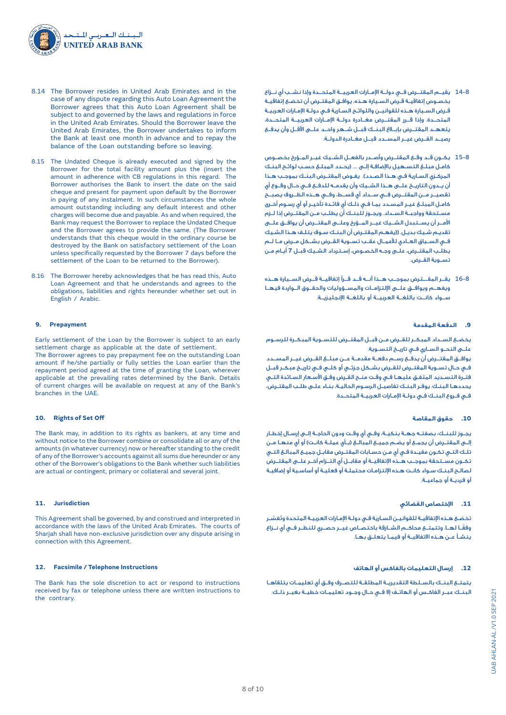

- 8.14 The Borrower resides in United Arab Emirates and in the case of any dispute regarding this Auto Loan Agreement the Borrower agrees that this Auto Loan Agreement shall be subject to and governed by the laws and regulations in force in the United Arab Emirates. Should the Borrower leave the United Arab Emirates, the Borrower undertakes to inform the Bank at least one month in advance and to repay the balance of the Loan outstanding before so leaving.
- 8.15 The Undated Cheque is already executed and signed by the Borrower for the total facility amount plus the (insert the amount in adherence with CB regulations in this regard. The Borrower authorises the Bank to insert the date on the said cheque and present for payment upon default by the Borrower in paying of any instalment. In such circumstances the whole amount outstanding including any default interest and other charges will become due and payable. As and when required, the Bank may request the Borrower to replace the Undated Cheque and the Borrower agrees to provide the same. (The Borrower understands that this cheque would in the ordinary course be destroyed by the Bank on satisfactory settlement of the Loan unless specifically requested by the Borrower 7 days before the settlement of the Loan to be returned to the Borrower).
- 8.16 The Borrower hereby acknowledges that he has read this, Auto Loan Agreement and that he understands and agrees to the obligations, liabilities and rights hereunder whether set out in English / Arabic.

## **9. Prepayment**

Early settlement of the Loan by the Borrower is subject to an early settlement charge as applicable at the date of settlement.

The Borrower agrees to pay prepayment fee on the outstanding Loan amount if he/she partially or fully settles the Loan earlier than the repayment period agreed at the time of granting the Loan, wherever applicable at the prevailing rates determined by the Bank. Details of current charges will be available on request at any of the Bank's branches in the UAE.

#### **10. Rights of Set Off**

The Bank may, in addition to its rights as bankers, at any time and without notice to the Borrower combine or consolidate all or any of the amounts (in whatever currency) now or hereafter standing to the credit of any of the Borrower's accounts against all sums due hereunder or any other of the Borrower's obligations to the Bank whether such liabilities are actual or contingent, primary or collateral and several joint.

#### **11. Jurisdiction**

This Agreement shall be governed, by and construed and interpreted in accordance with the laws of the United Arab Emirates. The courts of Sharjah shall have non-exclusive jurisdiction over any dispute arising in connection with this Agreement.

#### **12. Facsimile / Telephone Instructions**

The Bank has the sole discretion to act or respond to instructions received by fax or telephone unless there are written instructions to the contrary.

- 14-8 يقيــم المقتــرض فــي دولــة اإلمــارات العربيــة المتحــدة وإذا نشــب أي نــزاع بخصـوص إتفاقيـة قـرض السـيارة هـذه، يوافـق المقتـرض أن تخضـع إتفاقيـة قـرض السـيارة هـذه للقوانيـن واللوائـح السـارية فـي دولـة اإلمـارات العربيـة المتحــدة. وإذا قــرر المقتــرض مغــادرة دولــة اإلمــارات العربيــة المتحــدة، يتعهــد المقتــرض بإبــاغ البنــك قبــل شــهر واحــد علــى األقــل وأن يدفــع رصيــد القــرض غيــر المســدد قبــل مغــادرة الدولــة.
- 15-8 يكــون قــد وقــع المقتــرض وأصــدر بالفعــل الشــيك غيــر المــؤرخ بخصــوص كامـل مبلـغ التسـهيل باإلضافـة إلـى .... )يحـدد المبلـغ حسـب لوائـح البنـك المركـزي السـارية فـي هـذا الصـدد(. يفـوض المقتـرض البنـك بموجـب هـذا أن يــدون التاريــخ علــى هــذا الشــيك وأن يقدمــه للدفــع فــي حــال وقــوع أي تقصيــر مــن المقتــرض فــي ســداد أي قســط، وفــي هــذه الظــروف يصبــح كامـل المبلـغ غيـر المسـدد بمـا فـي ذلـك أي فائـدة تأخيـر أو أي رسـوم أخـرى مســتحقة وواجبــة الســداد. ويجــوز للبنــك أن يطلــب مــن المقتــرض إذا لــزم األمــر أن يســتبدل الشــيك غيــر المــؤرخ وعلــى المقتــرض أن يوافــق علــى تقديـم شـيك بديـل. ((يفهـم المقتـرض أن البنـك سـوف يتلـف هـذا الشـيك ٍ فــي الســياق العــادي لألعمــال عقــب تســوية القــرض بشــكل مــرض مــا لــم يطلـب المقتـرض، علـى وجـه الخصـوص، إسـترداد الشـيك قبـل **7** أيـام مـن تســوية القــرض.
- 16-8 يقــر المقـــترض بموجــب هــذا أنــه قــد قــرأ إتفاقيــة قــرض الســيارة هــذه ويفهــم ويوافــق علــى اإللتزامــات والمســؤوليات والحقــوق الــواردة فيهــا ســواء كانــت باللغــة العربيــة أو باللغــة اإلنجليزيــة.

# **.9 الدفعة المقدمة**

يخضــع الســداد المبكــر للقــرض مــن قبــل المقتــرض للتســوية المبكــرة للرســوم علــى النحــو الســاري فــي تاريــخ التســوية.

يوافــق المقتــرض أن يدفــع رســم دفعــة مقدمــة عــن مبلــغ القــرض غيــر المســدد فــي حــال تســوية المقتــرض للقــرض بشــكل جزئــي أو كلــي فــي تاريــخ مبكــر قبــل فتـرة التسـديد المتفـق عليهـا فـي وقـت منـح القـرض وفـق األسـعار السـائدة التـي يحددهـا البنـك. يوفـر البنـك تفاصيـل الرسـوم الحاليـة، بنـاء علـى طلـب المقتـرض، فــي فــروع البنــك فــي دولــة اإلمــارات العربيــة المتحــدة.

#### **.10 حقوق المقاصة**

يجــوز للبنــك، بصفتــه جهــة بنكيــة، وفــي أي وقــت ودون الحاجــة إلــى إرســال إخطــار إلـى المقتـرض أن يجمـع أو يضـم جميـع المبالـغ (بـأي عملـة كانـت) أو أي منهـا مـن تلـك التـي تكـون مقيـدة فـي أي مـن حسـابات المقتـرض مقابـل جميـع المبالـغ التـي تكــون مســتحقة بموجــب هــذه اإلتفاقيــة أو مقابــل أي التــزام آخــر علــى المقتــرض لصالـح البنـك سـواء كانـت هـذه اإللتزامـات محتملـة أو فعليـة أو أساسـية أو إضافيـة أو فرديـة أو جماعيـة.

#### **.11 اإلختصاص القضائي**

.<br>تخضـع هـذه الإتفاقيـة للقوانيـن السـارية فـي دولـة الإمـارات العربيـة المتحدة وتُفسّـر ً وفقــا لهــا. وتتمتــع محاكــم الشــارقة باختصــاص غيــر حصــري للنظــر فــي أي نــزاع ينشـأ عـن هـذه االتفاقيـة أو فيمـا يتعلـق بهـا.

# **.12 إرسال التعليمات بالفاكس أو الهاتف**

يتمتــع البنــك بالســلطة التقديريــة المطلقــة للتصــرف وفــق أي تعليمــات يتلقاهــا البنــك عبــر الفاكــس أو الهاتــف إال فــي حــال وجــود تعليمــات خطيــة بغيــر ذلــك.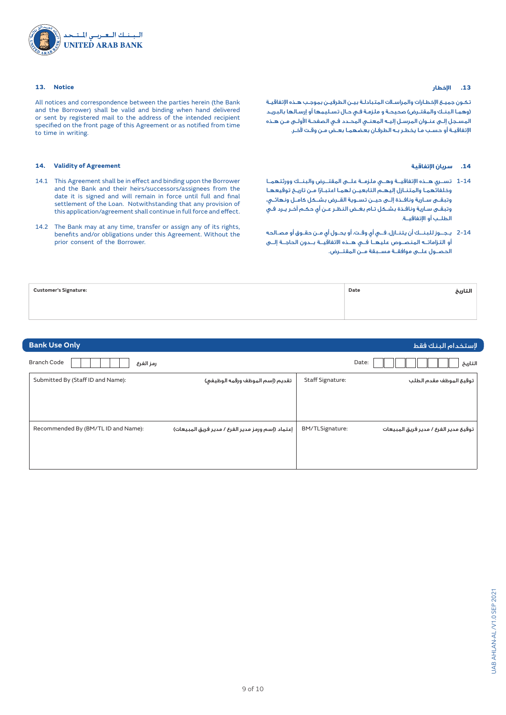

## **13. Notice**

All notices and correspondence between the parties herein (the Bank and the Borrower) shall be valid and binding when hand delivered or sent by registered mail to the address of the intended recipient specified on the front page of this Agreement or as notified from time to time in writing.

# **14. Validity of Agreement**

- 14.1 This Agreement shall be in effect and binding upon the Borrower and the Bank and their heirs/successors/assignees from the date it is signed and will remain in force until full and final settlement of the Loan. Notwithstanding that any provision of this application/agreement shall continue in full force and effect.
- 14.2 The Bank may at any time, transfer or assign any of its rights, benefits and/or obligations under this Agreement. Without the prior consent of the Borrower.

#### **.13 اإلخطار**

تكـون جميـع اإلخطـارات والمراسـات المتبادلـة بيـن الطرفيـن بموجـب هـذه اإلتفاقيـة )وهمـا البنـك والمقتـرض( صحيحـة و ملزمـة فـي حـال تسـليمها أو إرسـالها بالبريـد المسـجل إلـى عنـوان المرسـل إليـه المعنـي المحـدد فـي الصفحـة األولـى مـن هـذه اإلتفاقيـة أو حسـب مـا يخطـر بـه الطرفـان بعضهمـا بعـض مـن وقـت آلخـر.

## **.14 سريان اإلتفاقية**

- 1-14 تســري هــذه اإلتفاقيــة وهــي ملزمــة علــى المقتــرض والبنــك وورثتهمــا وخلفائهمـا والمتنـازل إليهـم التابعيـن لهمـا ً اعتبـارا مـن تاريـخ توقيعهـا وتبقــى ســارية ونافــذة إلــى حيــن تســوية القــرض بشــكل كامــل ونهائــي، وتبقـى سـارية ونافـذة بشـكل تـام بغـض النظـر عـن أي حكـم آخـر يـرد فـي الطلــب أو اإلتفاقيــة.
- 2-14 يـجــوز للبنــك أن يتنـازل، فــي أي وقـت، أو يحـول أي مـن حقـوق أو مصـالحه أو التزاماتــه المنصــوص عليهــا فــي هــذه االتفاقيــة بــدون الحاجــة إلــى الحصــول علــى موافقــة مســبقة مــن المقتــرض.

| <b>Customer's Signature:</b> | Date<br>التاريخ |  |
|------------------------------|-----------------|--|
|                              |                 |  |

| <b>Bank Use Only</b>                |                                                   |                         | لإستخدام البنك فقط                    |
|-------------------------------------|---------------------------------------------------|-------------------------|---------------------------------------|
| <b>Branch Code</b><br>رمز الفرع     |                                                   |                         | Date:<br>التاريخ                      |
| Submitted By (Staff ID and Name):   | تقديم (إسم الموظف ورقمه الوظيفي)                  | <b>Staff Signature:</b> | توقيع الموظف مقدم الطلب               |
|                                     |                                                   |                         |                                       |
|                                     |                                                   |                         |                                       |
| Recommended By (BM/TL ID and Name): | إعتماد (إسم ورمز مدير الفرع / مدير فريق المبيعات) | BM/TLSignature:         | توقيع مدير الفرع / مدير فريق المبيعات |
|                                     |                                                   |                         |                                       |
|                                     |                                                   |                         |                                       |